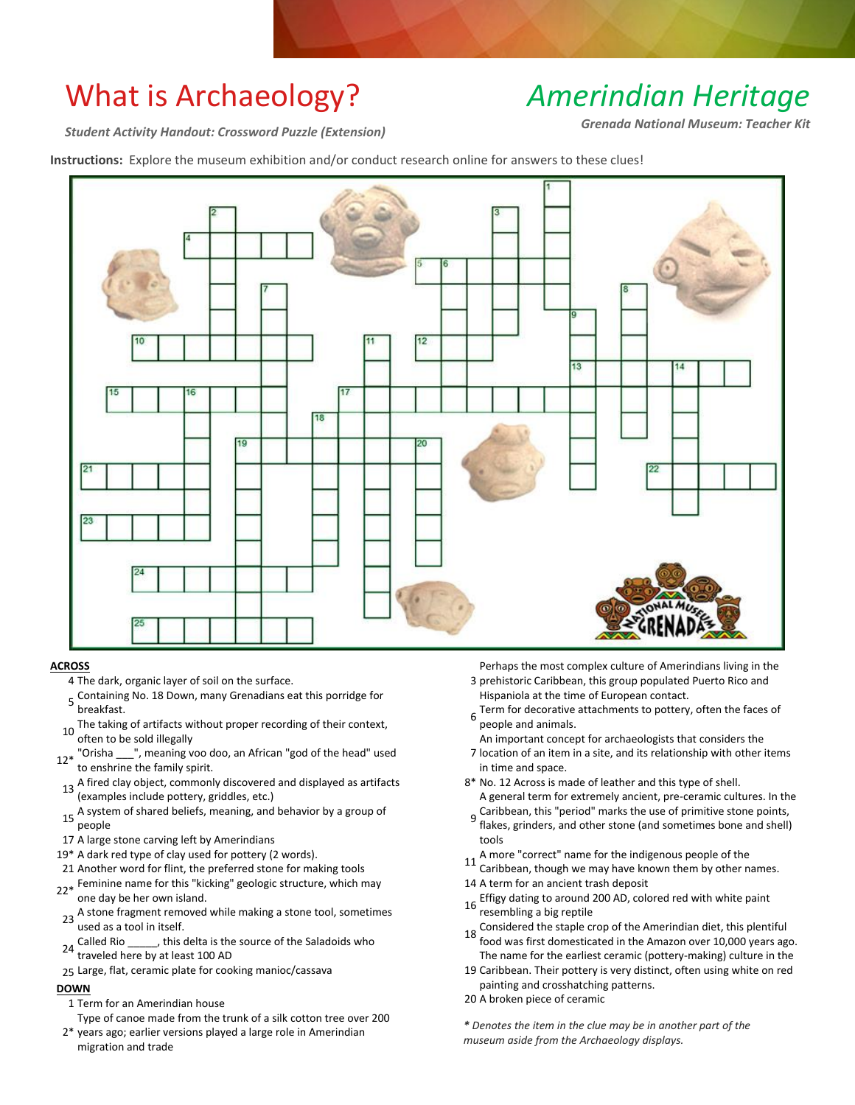# What is Archaeology?

## *Amerindian Heritage*

*Student Activity Handout: Crossword Puzzle (Extension)*

*Grenada National Museum: Teacher Kit*

**Instructions:** Explore the museum exhibition and/or conduct research online for answers to these clues!



#### **ACROSS**

- 4 The dark, organic layer of soil on the surface.
- 5 Containing No. 18 Down, many Grenadians eat this porridge for<br>5 heaelfset breakfast.
- 10 The taking of artifacts without proper recording of their context, often to be sold illegally
- 12\* "Orisha \_\_\_", meaning voo doo, an African "god of the head" used to enshrine the family spirit.
- 13 A fired clay object, commonly discovered and displayed as artifacts (examples include pottery, griddles, etc.)
- 15 A system of shared beliefs, meaning, and behavior by a group of people
- 17 A large stone carving left by Amerindians
- 19\* A dark red type of clay used for pottery (2 words).
- 21 Another word for flint, the preferred stone for making tools
- 22\* Feminine name for this "kicking" geologic structure, which may<br>22\* and day he her awn island one day be her own island.
- <sup>23</sup> A stone fragment removed while making a stone tool, sometimes used as a tool in itself.
- 24 Called Rio \_\_\_\_\_, this delta is the source of the Saladoids who traveled here by at least 100 AD
- 25 Large, flat, ceramic plate for cooking manioc/cassava

### **DOWN**

- 1 Term for an Amerindian house
- Type of canoe made from the trunk of a silk cotton tree over 200
- 2\* years ago; earlier versions played a large role in Amerindian migration and trade

3 prehistoric Caribbean, this group populated Puerto Rico and Perhaps the most complex culture of Amerindians living in the

- Hispaniola at the time of European contact.
- Term for decorative attachments to pottery, often the faces of<br>6 noonle and primals people and animals.
- An important concept for archaeologists that considers the
- 7 location of an item in a site, and its relationship with other items in time and space.
- 8\* No. 12 Across is made of leather and this type of shell. A general term for extremely ancient, pre-ceramic cultures. In the
- g Caribbean, this "period" marks the use of primitive stone points,<br>9 flakes, grinders, and other stone (and semetimes hang and shall) flakes, grinders, and other stone (and sometimes bone and shell) tools
- 11 A more "correct" name for the indigenous people of the
- Caribbean, though we may have known them by other names. 14 A term for an ancient trash deposit
- 16 Effigy dating to around 200 AD, colored red with white paint resembling a big reptile
- 18 Considered the staple crop of the Amerindian diet, this plentiful food was first domesticated in the Amazon over 10,000 years ago. The name for the earliest ceramic (pottery-making) culture in the
- 19 Caribbean. Their pottery is very distinct, often using white on red painting and crosshatching patterns.
- 20 A broken piece of ceramic

*\* Denotes the item in the clue may be in another part of the museum aside from the Archaeology displays.*